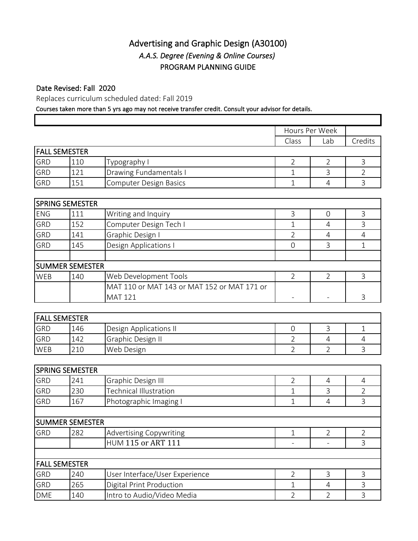## Advertising and Graphic Design (A30100) *A.A.S. Degree (Evening & Online Courses)* PROGRAM PLANNING GUIDE

## Date Revised: Fall 2020

Replaces curriculum scheduled dated: Fall 2019

## Courses taken more than 5 yrs ago may not receive transfer credit. Consult your advisor for details.

|            |                        |                                             | Hours Per Week           |                          |                |
|------------|------------------------|---------------------------------------------|--------------------------|--------------------------|----------------|
|            |                        |                                             | Class                    | Lab                      | Credits        |
|            | <b>FALL SEMESTER</b>   |                                             |                          |                          |                |
| GRD        | 110                    | Typography I                                | $\overline{2}$           | $\overline{2}$           | 3              |
| <b>GRD</b> | 121                    | Drawing Fundamentals I                      | 1                        | 3                        | $\overline{2}$ |
| GRD        | 151                    | <b>Computer Design Basics</b>               | 1                        | $\overline{4}$           | 3              |
|            |                        |                                             |                          |                          |                |
|            | <b>SPRING SEMESTER</b> |                                             |                          |                          |                |
| <b>ENG</b> | 111                    | Writing and Inquiry                         | 3                        | $\overline{O}$           | 3              |
| <b>GRD</b> | 152                    | Computer Design Tech I                      | $\mathbf 1$              | $\overline{4}$           | 3              |
| <b>GRD</b> | 141                    | Graphic Design I                            | $\overline{2}$           | $\overline{4}$           | 4              |
| <b>GRD</b> | 145                    | Design Applications I                       | $\mathsf{O}\xspace$      | 3                        | $\mathbf 1$    |
|            |                        |                                             |                          |                          |                |
|            | <b>SUMMER SEMESTER</b> |                                             |                          |                          |                |
| <b>WEB</b> | 140                    | Web Development Tools                       | $\overline{2}$           | $\overline{2}$           | 3              |
|            |                        | MAT 110 or MAT 143 or MAT 152 or MAT 171 or |                          |                          |                |
|            |                        | <b>MAT 121</b>                              | $\overline{\phantom{a}}$ | $\overline{\phantom{a}}$ | 3              |
|            |                        |                                             |                          |                          |                |
|            | <b>FALL SEMESTER</b>   |                                             |                          |                          |                |
| GRD        | 146                    | Design Applications II                      | $\overline{0}$           | 3                        | 1              |
| <b>GRD</b> | 142                    | Graphic Design II                           | 2                        | 4                        | 4              |
| WEB        | 210                    | Web Design                                  | $\overline{2}$           | $\overline{2}$           | $\overline{3}$ |
|            |                        |                                             |                          |                          |                |
|            | <b>SPRING SEMESTER</b> |                                             |                          |                          |                |
| <b>GRD</b> | 241                    | Graphic Design III                          | $\overline{2}$           | 4                        | 4              |
| <b>GRD</b> | 230                    | <b>Technical Illustration</b>               | $\mathbf 1$              | $\overline{3}$           | $\overline{2}$ |
| <b>GRD</b> | 167                    | Photographic Imaging I                      | $\mathbf 1$              | $\overline{4}$           | 3              |
|            |                        |                                             |                          |                          |                |
|            | <b>SUMMER SEMESTER</b> |                                             |                          |                          |                |
| GRD        | 282                    | <b>Advertising Copywriting</b>              | $\mathbf{1}$             | $\overline{2}$           | $\overline{2}$ |
|            |                        | HUM 115 or ART 111                          |                          |                          | 3              |
|            |                        |                                             |                          |                          |                |
|            | <b>FALL SEMESTER</b>   |                                             |                          |                          |                |
| GRD        | 240                    | User Interface/User Experience              | $\overline{2}$           | 3                        | 3              |
| GRD        | 265                    | Digital Print Production                    | $\mathbf{1}$             | $\overline{4}$           | 3              |
| DME        | 140                    | Intro to Audio/Video Media                  | $\overline{2}$           | $\overline{2}$           | 3              |